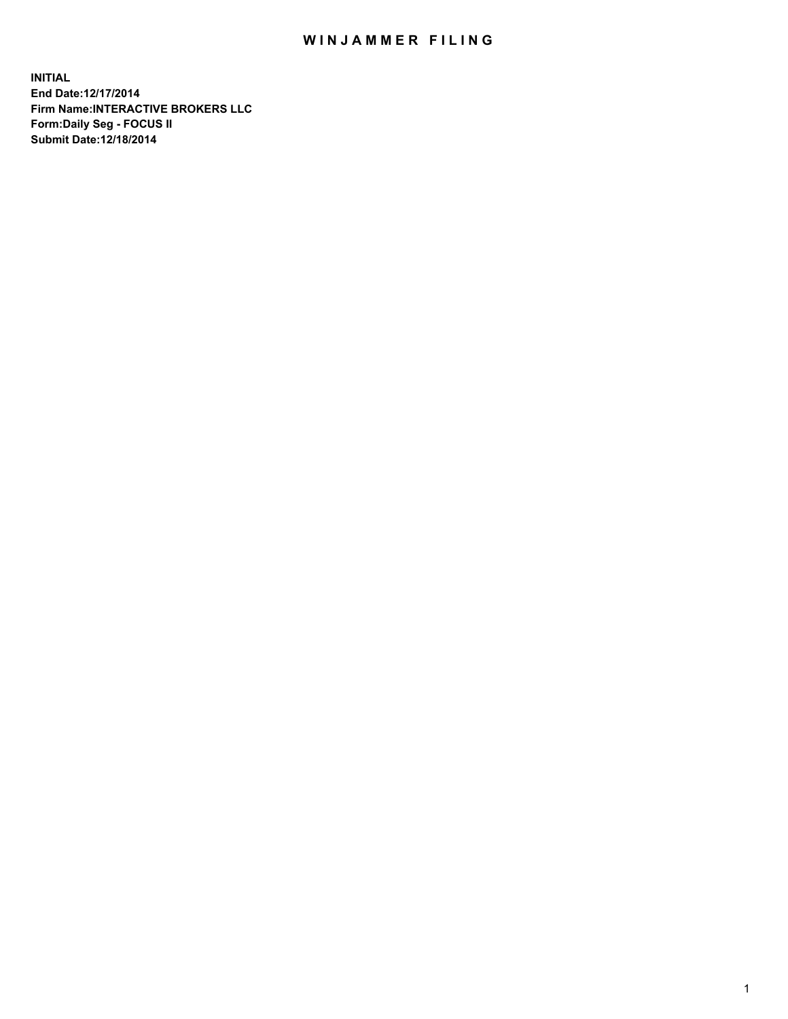## WIN JAMMER FILING

**INITIAL End Date:12/17/2014 Firm Name:INTERACTIVE BROKERS LLC Form:Daily Seg - FOCUS II Submit Date:12/18/2014**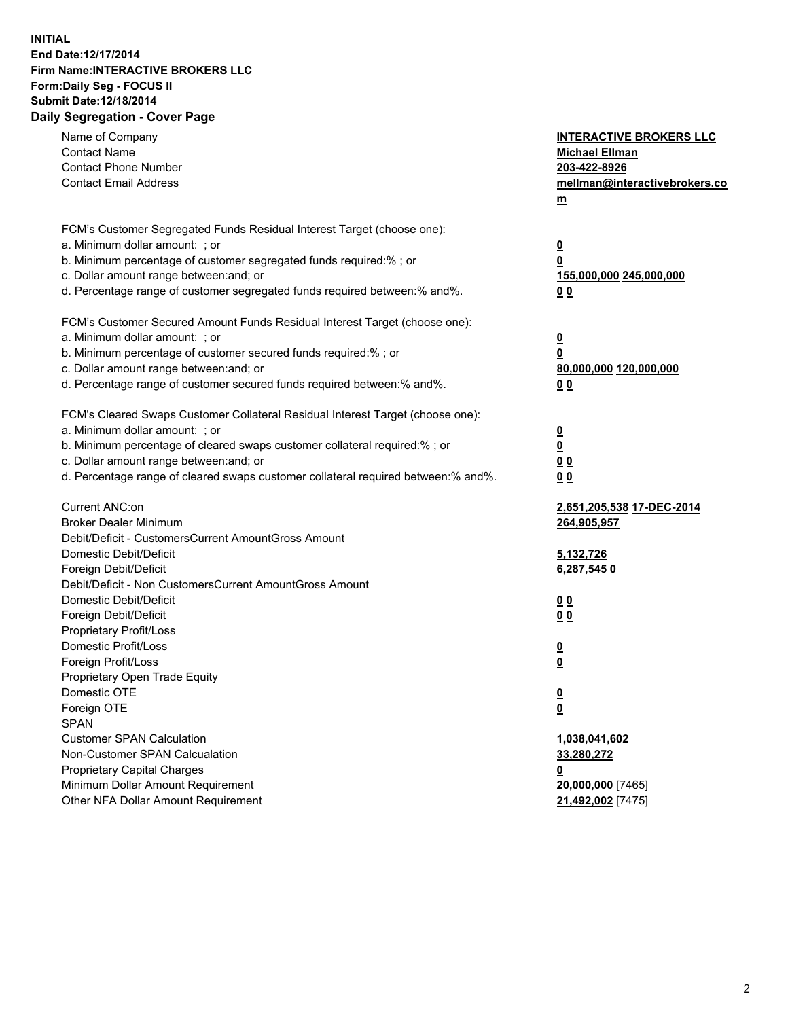## **INITIAL End Date:12/17/2014 Firm Name:INTERACTIVE BROKERS LLC Form:Daily Seg - FOCUS II Submit Date:12/18/2014 Daily Segregation - Cover Page**

| Name of Company<br><b>Contact Name</b><br><b>Contact Phone Number</b><br><b>Contact Email Address</b>                                                                                                                                                                                                                          | <b>INTERACTIVE BROKERS LLC</b><br><b>Michael Ellman</b><br>203-422-8926<br>mellman@interactivebrokers.co<br>$m$ |
|--------------------------------------------------------------------------------------------------------------------------------------------------------------------------------------------------------------------------------------------------------------------------------------------------------------------------------|-----------------------------------------------------------------------------------------------------------------|
| FCM's Customer Segregated Funds Residual Interest Target (choose one):<br>a. Minimum dollar amount: ; or<br>b. Minimum percentage of customer segregated funds required:% ; or<br>c. Dollar amount range between: and; or<br>d. Percentage range of customer segregated funds required between:% and%.                         | $\overline{\mathbf{0}}$<br>0<br>155,000,000 245,000,000<br>0 <sub>0</sub>                                       |
| FCM's Customer Secured Amount Funds Residual Interest Target (choose one):<br>a. Minimum dollar amount: ; or<br>b. Minimum percentage of customer secured funds required:% ; or<br>c. Dollar amount range between: and; or<br>d. Percentage range of customer secured funds required between:% and%.                           | $\overline{\mathbf{0}}$<br>0<br>80,000,000 120,000,000<br>0 <sub>0</sub>                                        |
| FCM's Cleared Swaps Customer Collateral Residual Interest Target (choose one):<br>a. Minimum dollar amount: ; or<br>b. Minimum percentage of cleared swaps customer collateral required:% ; or<br>c. Dollar amount range between: and; or<br>d. Percentage range of cleared swaps customer collateral required between:% and%. | $\overline{\mathbf{0}}$<br>$\underline{\mathbf{0}}$<br>0 <sub>0</sub><br>0 <sub>0</sub>                         |
| Current ANC:on<br><b>Broker Dealer Minimum</b><br>Debit/Deficit - CustomersCurrent AmountGross Amount<br>Domestic Debit/Deficit<br>Foreign Debit/Deficit                                                                                                                                                                       | 2,651,205,538 17-DEC-2014<br>264,905,957<br>5,132,726<br>6,287,5450                                             |
| Debit/Deficit - Non CustomersCurrent AmountGross Amount<br>Domestic Debit/Deficit<br>Foreign Debit/Deficit<br>Proprietary Profit/Loss<br>Domestic Profit/Loss                                                                                                                                                                  | 0 <sub>0</sub><br>0 <sub>0</sub><br>$\overline{\mathbf{0}}$                                                     |
| Foreign Profit/Loss<br>Proprietary Open Trade Equity<br>Domestic OTE<br>Foreign OTE<br><b>SPAN</b><br><b>Customer SPAN Calculation</b>                                                                                                                                                                                         | $\overline{\mathbf{0}}$<br>$\underline{\mathbf{0}}$<br><u>0</u><br>1,038,041,602                                |
| Non-Customer SPAN Calcualation<br><b>Proprietary Capital Charges</b><br>Minimum Dollar Amount Requirement<br>Other NFA Dollar Amount Requirement                                                                                                                                                                               | 33,280,272<br><u>0</u><br>20,000,000 [7465]<br>21,492,002 [7475]                                                |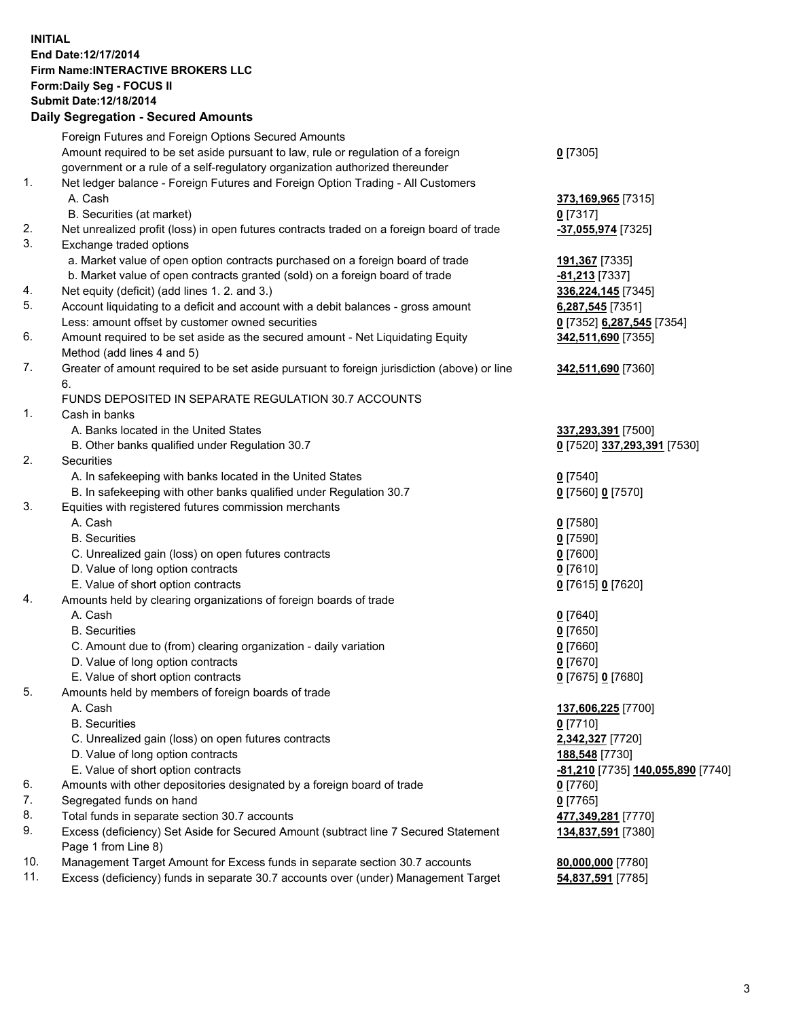## **INITIAL End Date:12/17/2014 Firm Name:INTERACTIVE BROKERS LLC Form:Daily Seg - FOCUS II Submit Date:12/18/2014 Daily Segregation - Secured Amounts**

|                | Dany Oogregation - Oecarea Amounts                                                                         |                                   |
|----------------|------------------------------------------------------------------------------------------------------------|-----------------------------------|
|                | Foreign Futures and Foreign Options Secured Amounts                                                        |                                   |
|                | Amount required to be set aside pursuant to law, rule or regulation of a foreign                           | $0$ [7305]                        |
|                | government or a rule of a self-regulatory organization authorized thereunder                               |                                   |
| 1.             | Net ledger balance - Foreign Futures and Foreign Option Trading - All Customers                            |                                   |
|                | A. Cash                                                                                                    | 373,169,965 [7315]                |
|                | B. Securities (at market)                                                                                  | $0$ [7317]                        |
| 2.             | Net unrealized profit (loss) in open futures contracts traded on a foreign board of trade                  | -37,055,974 [7325]                |
| 3.             | Exchange traded options                                                                                    |                                   |
|                | a. Market value of open option contracts purchased on a foreign board of trade                             | <u>191,367</u> [7335]             |
|                | b. Market value of open contracts granted (sold) on a foreign board of trade                               | -81,213 [7337]                    |
| 4.             | Net equity (deficit) (add lines 1.2. and 3.)                                                               | 336,224,145 [7345]                |
| 5.             | Account liquidating to a deficit and account with a debit balances - gross amount                          | 6,287,545 [7351]                  |
|                | Less: amount offset by customer owned securities                                                           | 0 [7352] 6,287,545 [7354]         |
| 6.             | Amount required to be set aside as the secured amount - Net Liquidating Equity                             | 342,511,690 [7355]                |
|                | Method (add lines 4 and 5)                                                                                 |                                   |
| 7.             | Greater of amount required to be set aside pursuant to foreign jurisdiction (above) or line                | 342,511,690 [7360]                |
|                | 6.                                                                                                         |                                   |
|                | FUNDS DEPOSITED IN SEPARATE REGULATION 30.7 ACCOUNTS                                                       |                                   |
| $\mathbf{1}$ . | Cash in banks                                                                                              |                                   |
|                | A. Banks located in the United States                                                                      | 337,293,391 [7500]                |
|                | B. Other banks qualified under Regulation 30.7                                                             | 0 [7520] 337,293,391 [7530]       |
| 2.             | Securities                                                                                                 |                                   |
|                | A. In safekeeping with banks located in the United States                                                  | $0$ [7540]                        |
|                | B. In safekeeping with other banks qualified under Regulation 30.7                                         | 0 [7560] 0 [7570]                 |
| 3.             | Equities with registered futures commission merchants                                                      |                                   |
|                | A. Cash                                                                                                    | $0$ [7580]                        |
|                | <b>B.</b> Securities                                                                                       | $0$ [7590]                        |
|                | C. Unrealized gain (loss) on open futures contracts                                                        | $0$ [7600]                        |
|                | D. Value of long option contracts                                                                          | $0$ [7610]                        |
|                | E. Value of short option contracts                                                                         | 0 [7615] 0 [7620]                 |
| 4.             | Amounts held by clearing organizations of foreign boards of trade                                          |                                   |
|                | A. Cash                                                                                                    | $0$ [7640]                        |
|                | <b>B.</b> Securities                                                                                       | $0$ [7650]                        |
|                | C. Amount due to (from) clearing organization - daily variation                                            | $0$ [7660]                        |
|                | D. Value of long option contracts                                                                          | $0$ [7670]                        |
|                | E. Value of short option contracts                                                                         | 0 [7675] 0 [7680]                 |
| 5.             | Amounts held by members of foreign boards of trade                                                         |                                   |
|                | A. Cash                                                                                                    | 137,606,225 [7700]                |
|                | <b>B.</b> Securities                                                                                       | $0$ [7710]                        |
|                | C. Unrealized gain (loss) on open futures contracts                                                        | 2,342,327 [7720]                  |
|                | D. Value of long option contracts                                                                          | 188,548 [7730]                    |
|                | E. Value of short option contracts                                                                         | -81,210 [7735] 140,055,890 [7740] |
| 6.             | Amounts with other depositories designated by a foreign board of trade                                     | $0$ [7760]                        |
| 7.             | Segregated funds on hand                                                                                   | $0$ [7765]                        |
| 8.             | Total funds in separate section 30.7 accounts                                                              | 477,349,281 [7770]                |
| 9.             | Excess (deficiency) Set Aside for Secured Amount (subtract line 7 Secured Statement<br>Page 1 from Line 8) | 134,837,591 [7380]                |
| 10.            | Management Target Amount for Excess funds in separate section 30.7 accounts                                | 80,000,000 [7780]                 |
| 11.            | Excess (deficiency) funds in separate 30.7 accounts over (under) Management Target                         | 54,837,591 [7785]                 |
|                |                                                                                                            |                                   |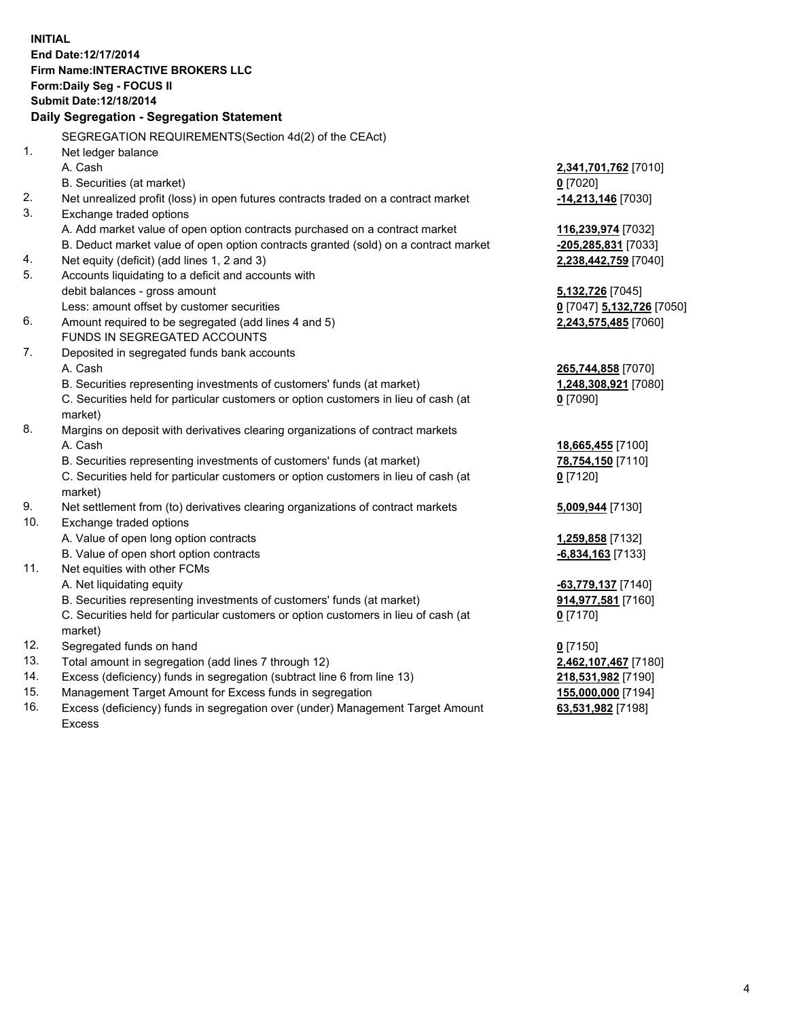**INITIAL End Date:12/17/2014 Firm Name:INTERACTIVE BROKERS LLC Form:Daily Seg - FOCUS II Submit Date:12/18/2014 Daily Segregation - Segregation Statement** SEGREGATION REQUIREMENTS(Section 4d(2) of the CEAct) 1. Net ledger balance A. Cash **2,341,701,762** [7010] B. Securities (at market) **0** [7020] 2. Net unrealized profit (loss) in open futures contracts traded on a contract market **-14,213,146** [7030] 3. Exchange traded options A. Add market value of open option contracts purchased on a contract market **116,239,974** [7032] B. Deduct market value of open option contracts granted (sold) on a contract market **-205,285,831** [7033] 4. Net equity (deficit) (add lines 1, 2 and 3) **2,238,442,759** [7040] 5. Accounts liquidating to a deficit and accounts with debit balances - gross amount **5,132,726** [7045] Less: amount offset by customer securities **0** [7047] **5,132,726** [7050] 6. Amount required to be segregated (add lines 4 and 5) **2,243,575,485** [7060] FUNDS IN SEGREGATED ACCOUNTS 7. Deposited in segregated funds bank accounts A. Cash **265,744,858** [7070] B. Securities representing investments of customers' funds (at market) **1,248,308,921** [7080] C. Securities held for particular customers or option customers in lieu of cash (at market) **0** [7090] 8. Margins on deposit with derivatives clearing organizations of contract markets A. Cash **18,665,455** [7100] B. Securities representing investments of customers' funds (at market) **78,754,150** [7110] C. Securities held for particular customers or option customers in lieu of cash (at market) **0** [7120] 9. Net settlement from (to) derivatives clearing organizations of contract markets **5,009,944** [7130] 10. Exchange traded options A. Value of open long option contracts **1,259,858** [7132] B. Value of open short option contracts **-6,834,163** [7133] 11. Net equities with other FCMs A. Net liquidating equity **-63,779,137** [7140] B. Securities representing investments of customers' funds (at market) **914,977,581** [7160] C. Securities held for particular customers or option customers in lieu of cash (at market) **0** [7170] 12. Segregated funds on hand **0** [7150] 13. Total amount in segregation (add lines 7 through 12) **2,462,107,467** [7180] 14. Excess (deficiency) funds in segregation (subtract line 6 from line 13) **218,531,982** [7190] 15. Management Target Amount for Excess funds in segregation **155,000,000** [7194]

16. Excess (deficiency) funds in segregation over (under) Management Target Amount Excess

**63,531,982** [7198]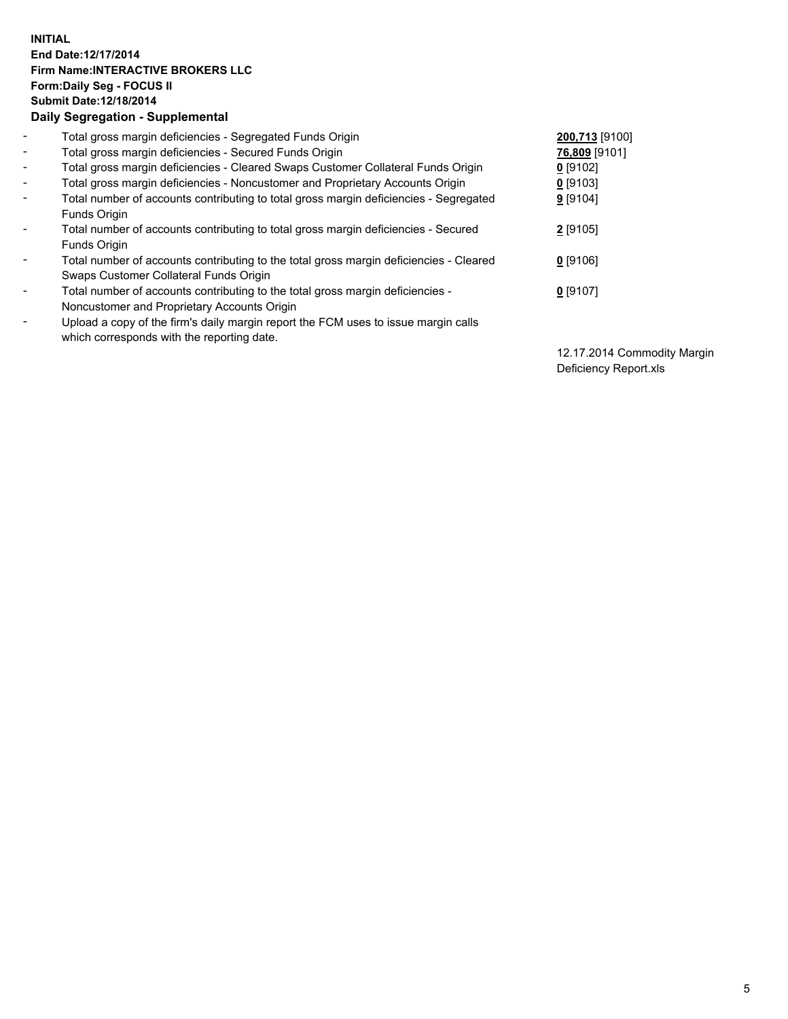## **INITIAL End Date:12/17/2014 Firm Name:INTERACTIVE BROKERS LLC Form:Daily Seg - FOCUS II Submit Date:12/18/2014 Daily Segregation - Supplemental**

| $\blacksquare$ | Total gross margin deficiencies - Segregated Funds Origin                              | 200,713 [9100] |
|----------------|----------------------------------------------------------------------------------------|----------------|
| $\blacksquare$ | Total gross margin deficiencies - Secured Funds Origin                                 | 76,809 [9101]  |
| $\blacksquare$ | Total gross margin deficiencies - Cleared Swaps Customer Collateral Funds Origin       | $0$ [9102]     |
| $\blacksquare$ | Total gross margin deficiencies - Noncustomer and Proprietary Accounts Origin          | $0$ [9103]     |
| $\blacksquare$ | Total number of accounts contributing to total gross margin deficiencies - Segregated  | 9 [9104]       |
|                | Funds Origin                                                                           |                |
| $\blacksquare$ | Total number of accounts contributing to total gross margin deficiencies - Secured     | 2 [9105]       |
|                | Funds Origin                                                                           |                |
| Ξ.             | Total number of accounts contributing to the total gross margin deficiencies - Cleared | $0$ [9106]     |
|                | Swaps Customer Collateral Funds Origin                                                 |                |
| -              | Total number of accounts contributing to the total gross margin deficiencies -         | $0$ [9107]     |
|                | Noncustomer and Proprietary Accounts Origin                                            |                |
| -              | Upload a copy of the firm's daily margin report the FCM uses to issue margin calls     |                |
|                | which corresponds with the reporting date.                                             |                |

12.17.2014 Commodity Margin Deficiency Report.xls